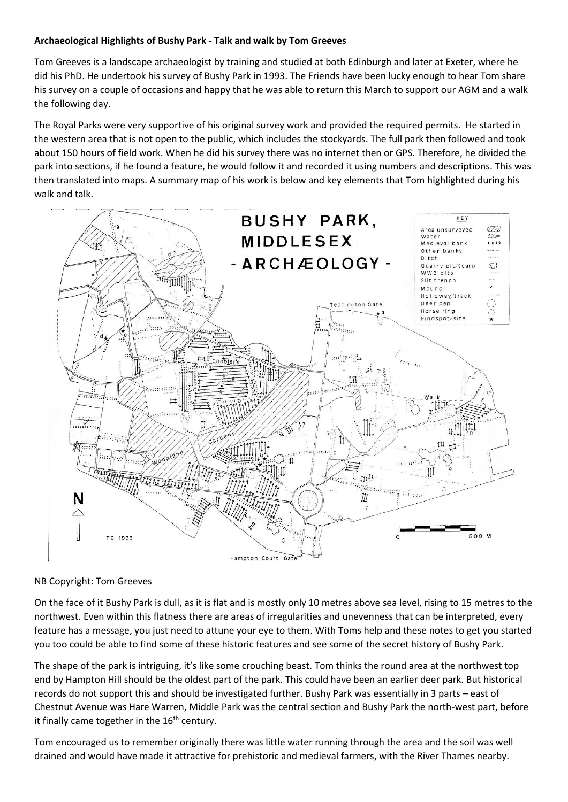## **Archaeological Highlights of Bushy Park - Talk and walk by Tom Greeves**

Tom Greeves is a landscape archaeologist by training and studied at both Edinburgh and later at Exeter, where he did his PhD. He undertook his survey of Bushy Park in 1993. The Friends have been lucky enough to hear Tom share his survey on a couple of occasions and happy that he was able to return this March to support our AGM and a walk the following day.

The Royal Parks were very supportive of his original survey work and provided the required permits. He started in the western area that is not open to the public, which includes the stockyards. The full park then followed and took about 150 hours of field work. When he did his survey there was no internet then or GPS. Therefore, he divided the park into sections, if he found a feature, he would follow it and recorded it using numbers and descriptions. This was then translated into maps. A summary map of his work is below and key elements that Tom highlighted during his walk and talk.



## NB Copyright: Tom Greeves

On the face of it Bushy Park is dull, as it is flat and is mostly only 10 metres above sea level, rising to 15 metres to the northwest. Even within this flatness there are areas of irregularities and unevenness that can be interpreted, every feature has a message, you just need to attune your eye to them. With Toms help and these notes to get you started you too could be able to find some of these historic features and see some of the secret history of Bushy Park.

The shape of the park is intriguing, it's like some crouching beast. Tom thinks the round area at the northwest top end by Hampton Hill should be the oldest part of the park. This could have been an earlier deer park. But historical records do not support this and should be investigated further. Bushy Park was essentially in 3 parts – east of Chestnut Avenue was Hare Warren, Middle Park was the central section and Bushy Park the north-west part, before it finally came together in the  $16<sup>th</sup>$  century.

Tom encouraged us to remember originally there was little water running through the area and the soil was well drained and would have made it attractive for prehistoric and medieval farmers, with the River Thames nearby.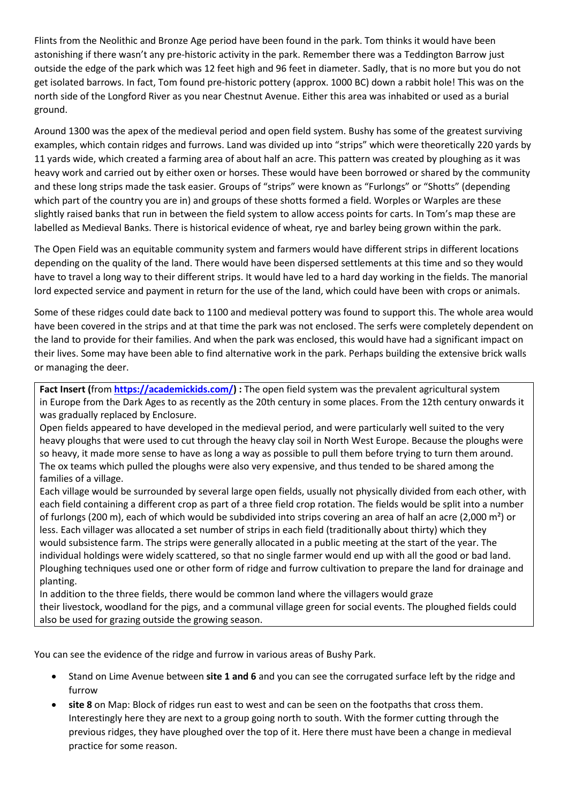Flints from the Neolithic and Bronze Age period have been found in the park. Tom thinks it would have been astonishing if there wasn't any pre-historic activity in the park. Remember there was a Teddington Barrow just outside the edge of the park which was 12 feet high and 96 feet in diameter. Sadly, that is no more but you do not get isolated barrows. In fact, Tom found pre-historic pottery (approx. 1000 BC) down a rabbit hole! This was on the north side of the Longford River as you near Chestnut Avenue. Either this area was inhabited or used as a burial ground.

Around 1300 was the apex of the medieval period and open field system. Bushy has some of the greatest surviving examples, which contain ridges and furrows. Land was divided up into "strips" which were theoretically 220 yards by 11 yards wide, which created a farming area of about half an acre. This pattern was created by ploughing as it was heavy work and carried out by either oxen or horses. These would have been borrowed or shared by the community and these long strips made the task easier. Groups of "strips" were known as "Furlongs" or "Shotts" (depending which part of the country you are in) and groups of these shotts formed a field. Worples or Warples are these slightly raised banks that run in between the field system to allow access points for carts. In Tom's map these are labelled as Medieval Banks. There is historical evidence of wheat, rye and barley being grown within the park.

The Open Field was an equitable community system and farmers would have different strips in different locations depending on the quality of the land. There would have been dispersed settlements at this time and so they would have to travel a long way to their different strips. It would have led to a hard day working in the fields. The manorial lord expected service and payment in return for the use of the land, which could have been with crops or animals.

Some of these ridges could date back to 1100 and medieval pottery was found to support this. The whole area would have been covered in the strips and at that time the park was not enclosed. The serfs were completely dependent on the land to provide for their families. And when the park was enclosed, this would have had a significant impact on their lives. Some may have been able to find alternative work in the park. Perhaps building the extensive brick walls or managing the deer.

**Fact Insert (**from **[https://academickids.com/\)](https://academickids.com/) :** The open field system was the prevalent agricultural system in [Europe](https://academickids.com/encyclopedia/index.php/Europe) from the [Dark Ages](https://academickids.com/encyclopedia/index.php/Dark_Ages) to as recently as the [20th century](https://academickids.com/encyclopedia/index.php/20th_century) in some places. From the [12th century](https://academickids.com/encyclopedia/index.php/12th_century) onwards it was gradually replaced by [Enclosure.](https://academickids.com/encyclopedia/index.php/Inclosure)

Open fields appeared to have developed in the medieval period, and were particularly well suited to the very heavy [ploughs](https://academickids.com/encyclopedia/index.php/Plough) that were used to cut through the heavy clay soil in North West Europe. Because the ploughs were so heavy, it made more sense to have as long a way as possible to pull them before trying to turn them around. The ox teams which pulled the ploughs were also very expensive, and thus tended to be shared among the families of a village.

Each village would be surrounded by several large open fields, usually not physically divided from each other, with each field containing a different crop as part of a three field [crop rotation.](https://academickids.com/encyclopedia/index.php/Crop_rotation) The fields would be split into a number of [furlongs](https://academickids.com/encyclopedia/index.php/Furlong) (200 m), each of which would be subdivided into strips covering an area of half an [acre](https://academickids.com/encyclopedia/index.php/Acre) (2,000 m²) or less. Each villager was allocated a set number of strips in each field (traditionally about thirty) which they would [subsistence](https://academickids.com/encyclopedia/index.php/List_of_subsistence_techniques) farm. The strips were generally allocated in a public meeting at the start of the year. The individual holdings were widely scattered, so that no single farmer would end up with all the good or bad land. Ploughing techniques used one or other form of [ridge and furrow](https://academickids.com/encyclopedia/index.php?title=Ridge_and_furrow&action=edit) cultivation to prepare the land for drainage and planting.

In addition to the three fields, there would be [common](https://academickids.com/encyclopedia/index.php/Commons) land where the villagers would graze their [livestock,](https://academickids.com/encyclopedia/index.php/Livestock) [woodland](https://academickids.com/encyclopedia/index.php/Woodland) for the [pigs,](https://academickids.com/encyclopedia/index.php/Pig) and a communal [village green](https://academickids.com/encyclopedia/index.php/Village_green) for social events. The ploughed fields could also be used for grazing outside the growing season.

You can see the evidence of the ridge and furrow in various areas of Bushy Park.

- Stand on Lime Avenue between **site 1 and 6** and you can see the corrugated surface left by the ridge and furrow
- **site 8** on Map: Block of ridges run east to west and can be seen on the footpaths that cross them. Interestingly here they are next to a group going north to south. With the former cutting through the previous ridges, they have ploughed over the top of it. Here there must have been a change in medieval practice for some reason.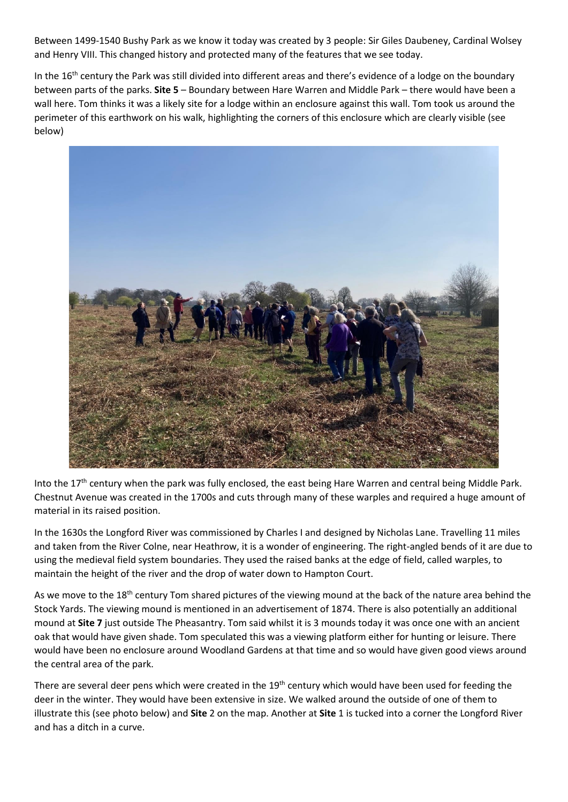Between 1499-1540 Bushy Park as we know it today was created by 3 people: Sir Giles Daubeney, Cardinal Wolsey and Henry VIII. This changed history and protected many of the features that we see today.

In the 16<sup>th</sup> century the Park was still divided into different areas and there's evidence of a lodge on the boundary between parts of the parks. **Site 5** – Boundary between Hare Warren and Middle Park – there would have been a wall here. Tom thinks it was a likely site for a lodge within an enclosure against this wall. Tom took us around the perimeter of this earthwork on his walk, highlighting the corners of this enclosure which are clearly visible (see below)



Into the 17<sup>th</sup> century when the park was fully enclosed, the east being Hare Warren and central being Middle Park. Chestnut Avenue was created in the 1700s and cuts through many of these warples and required a huge amount of material in its raised position.

In the 1630s the Longford River was commissioned by Charles I and designed by Nicholas Lane. Travelling 11 miles and taken from the River Colne, near Heathrow, it is a wonder of engineering. The right-angled bends of it are due to using the medieval field system boundaries. They used the raised banks at the edge of field, called warples, to maintain the height of the river and the drop of water down to Hampton Court.

As we move to the 18<sup>th</sup> century Tom shared pictures of the viewing mound at the back of the nature area behind the Stock Yards. The viewing mound is mentioned in an advertisement of 1874. There is also potentially an additional mound at **Site 7** just outside The Pheasantry. Tom said whilst it is 3 mounds today it was once one with an ancient oak that would have given shade. Tom speculated this was a viewing platform either for hunting or leisure. There would have been no enclosure around Woodland Gardens at that time and so would have given good views around the central area of the park.

There are several deer pens which were created in the 19<sup>th</sup> century which would have been used for feeding the deer in the winter. They would have been extensive in size. We walked around the outside of one of them to illustrate this (see photo below) and **Site** 2 on the map. Another at **Site** 1 is tucked into a corner the Longford River and has a ditch in a curve.